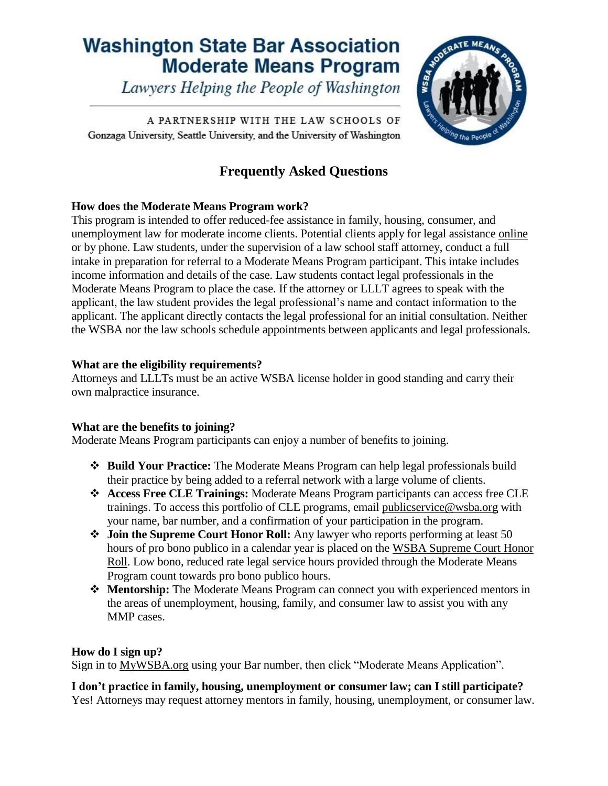# **Washington State Bar Association Moderate Means Program**

Lawyers Helping the People of Washington

A PARTNERSHIP WITH THE LAW SCHOOLS OF Gonzaga University, Seattle University, and the University of Washington

# **Frequently Asked Questions**

WSB4 NO

<sup>7</sup>9 the Peo

# **How does the Moderate Means Program work?**

This program is intended to offer reduced-fee assistance in family, housing, consumer, and unemployment law for moderate income clients. Potential clients apply for legal assistance [online](https://www.wsba.org/connect-serve/volunteer-opportunities/mmp/mmpclients) or by phone. Law students, under the supervision of a law school staff attorney, conduct a full intake in preparation for referral to a Moderate Means Program participant. This intake includes income information and details of the case. Law students contact legal professionals in the Moderate Means Program to place the case. If the attorney or LLLT agrees to speak with the applicant, the law student provides the legal professional's name and contact information to the applicant. The applicant directly contacts the legal professional for an initial consultation. Neither the WSBA nor the law schools schedule appointments between applicants and legal professionals.

# **What are the eligibility requirements?**

Attorneys and LLLTs must be an active WSBA license holder in good standing and carry their own malpractice insurance.

# **What are the benefits to joining?**

Moderate Means Program participants can enjoy a number of benefits to joining.

- **Build Your Practice:** The Moderate Means Program can help legal professionals build their practice by being added to a referral network with a large volume of clients.
- **Access Free CLE Trainings:** Moderate Means Program participants can access free CLE trainings. To access this portfolio of CLE programs, email [publicservice@wsba.org](mailto:publicservice@wsba.org) with your name, bar number, and a confirmation of your participation in the program.
- **Join the Supreme Court Honor Roll:** Any lawyer who reports performing at least 50 hours of pro bono publico in a calendar year is placed on the [WSBA Supreme Court Honor](https://www.wsba.org/docs/default-source/legal-community/volunteer/barnews-oct-2020_honorrollec0170f2f6d9654cb471ff1f00003f4f.pdf?sfvrsn=efd815f1_2)  [Roll.](https://www.wsba.org/docs/default-source/legal-community/volunteer/barnews-oct-2020_honorrollec0170f2f6d9654cb471ff1f00003f4f.pdf?sfvrsn=efd815f1_2) Low bono, reduced rate legal service hours provided through the Moderate Means Program count towards pro bono publico hours.
- **Mentorship:** The Moderate Means Program can connect you with experienced mentors in the areas of unemployment, housing, family, and consumer law to assist you with any MMP cases.

# **How do I sign up?**

Sign in to [MyWSBA.org](mywsba.org) using your Bar number, then click "Moderate Means Application".

**I don't practice in family, housing, unemployment or consumer law; can I still participate?** Yes! Attorneys may request attorney mentors in family, housing, unemployment, or consumer law.